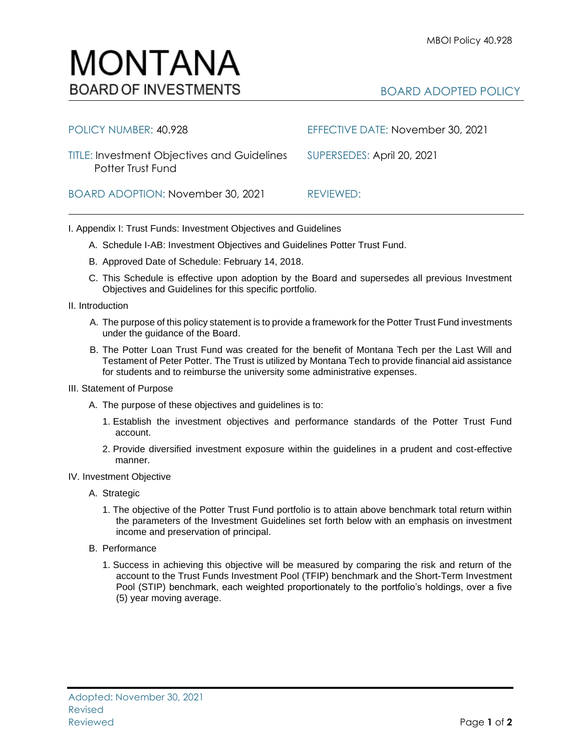## BOARD ADOPTED POLICY

| POLICY NUMBER: 40.928                                                   | EFFECTIVE DATE: November 30, 2021 |
|-------------------------------------------------------------------------|-----------------------------------|
| <b>TITLE: Investment Objectives and Guidelines</b><br>Potter Trust Fund | SUPERSEDES: April 20, 2021        |
| BOARD ADOPTION: November 30, 2021                                       | REVIEWED:                         |

I. Appendix I: Trust Funds: Investment Objectives and Guidelines

- A. Schedule I-AB: Investment Objectives and Guidelines Potter Trust Fund.
- B. Approved Date of Schedule: February 14, 2018.

MONTANA

**BOARD OF INVESTMENTS** 

- C. This Schedule is effective upon adoption by the Board and supersedes all previous Investment Objectives and Guidelines for this specific portfolio*.*
- II. Introduction
	- A. The purpose of this policy statement is to provide a framework for the Potter Trust Fund investments under the guidance of the Board.
	- B. The Potter Loan Trust Fund was created for the benefit of Montana Tech per the Last Will and Testament of Peter Potter. The Trust is utilized by Montana Tech to provide financial aid assistance for students and to reimburse the university some administrative expenses.
- III. Statement of Purpose
	- A. The purpose of these objectives and guidelines is to:
		- 1. Establish the investment objectives and performance standards of the Potter Trust Fund account.
		- 2. Provide diversified investment exposure within the guidelines in a prudent and cost-effective manner.
- IV. Investment Objective
	- A. Strategic
		- 1. The objective of the Potter Trust Fund portfolio is to attain above benchmark total return within the parameters of the Investment Guidelines set forth below with an emphasis on investment income and preservation of principal.
	- B. Performance
		- 1. Success in achieving this objective will be measured by comparing the risk and return of the account to the Trust Funds Investment Pool (TFIP) benchmark and the Short-Term Investment Pool (STIP) benchmark, each weighted proportionately to the portfolio's holdings, over a five (5) year moving average.